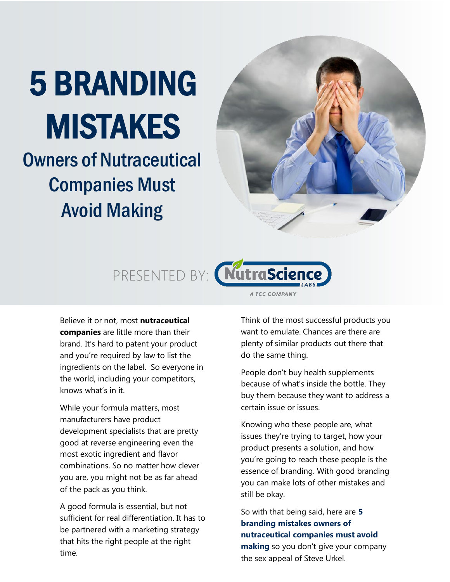# 5 BRANDING MISTAKES

## Owners of Nutraceutical Companies Must Avoid Making





Believe it or not, most **nutraceutical companies** are little more than their brand. It's hard to patent your product and you're required by law to list the ingredients on the label. So everyone in the world, including your competitors, knows what's in it.

While your formula matters, most manufacturers have product development specialists that are pretty good at reverse engineering even the most exotic ingredient and flavor combinations. So no matter how clever you are, you might not be as far ahead of the pack as you think.

A good formula is essential, but not sufficient for real differentiation. It has to be partnered with a marketing strategy that hits the right people at the right time.

Think of the most successful products you want to emulate. Chances are there are plenty of similar products out there that do the same thing.

People don't buy health supplements because of what's inside the bottle. They buy them because they want to address a certain issue or issues.

Knowing who these people are, what issues they're trying to target, how your product presents a solution, and how you're going to reach these people is the essence of branding. With good branding you can make lots of other mistakes and still be okay.

So with that being said, here are **5 branding mistakes owners of nutraceutical companies must avoid making** so you don't give your company the sex appeal of Steve Urkel.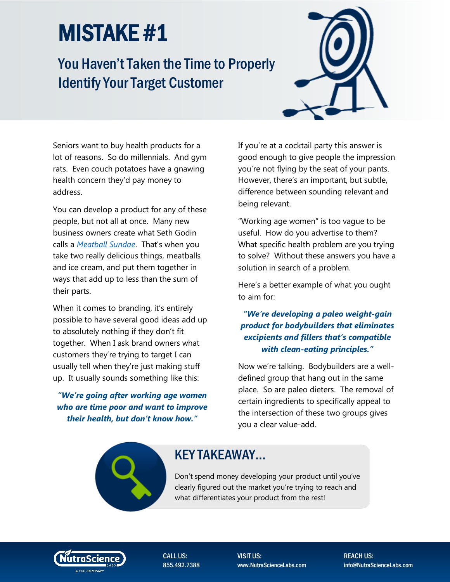### You Haven't Taken the Time to Properly Identify Your Target Customer



Seniors want to buy health products for a lot of reasons. So do millennials. And gym rats. Even couch potatoes have a gnawing health concern they'd pay money to address.

You can develop a product for any of these people, but not all at once. Many new business owners create what Seth Godin calls a *[Meatball Sundae](http://www.amazon.com/Meatball-Sundae-Your-Marketing-Sync/dp/1591845351)*. That's when you take two really delicious things, meatballs and ice cream, and put them together in ways that add up to less than the sum of their parts.

When it comes to branding, it's entirely possible to have several good ideas add up to absolutely nothing if they don't fit together. When I ask brand owners what customers they're trying to target I can usually tell when they're just making stuff up. It usually sounds something like this:

*"We're going after working age women who are time poor and want to improve their health, but don't know how."*

If you're at a cocktail party this answer is good enough to give people the impression you're not flying by the seat of your pants. However, there's an important, but subtle, difference between sounding relevant and being relevant.

"Working age women" is too vague to be useful. How do you advertise to them? What specific health problem are you trying to solve? Without these answers you have a solution in search of a problem.

Here's a better example of what you ought to aim for:

#### *"We're developing a paleo weight-gain product for bodybuilders that eliminates excipients and fillers that's compatible with clean-eating principles."*

Now we're talking. Bodybuilders are a welldefined group that hang out in the same place. So are paleo dieters. The removal of certain ingredients to specifically appeal to the intersection of these two groups gives you a clear value-add.

#### KEY TAKEAWAY…

Don't spend money developing your product until you've clearly figured out the market you're trying to reach and what differentiates your product from the rest!



CALL US: 855.492.7388 VISIT US: www.NutraScienceLabs.com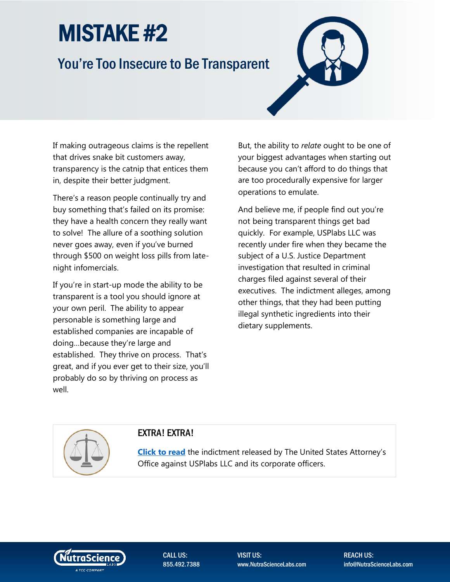### You're Too Insecure to Be Transparent

If making outrageous claims is the repellent that drives snake bit customers away, transparency is the catnip that entices them in, despite their better judgment.

There's a reason people continually try and buy something that's failed on its promise: they have a health concern they really want to solve! The allure of a soothing solution never goes away, even if you've burned through \$500 on weight loss pills from latenight infomercials.

If you're in start-up mode the ability to be transparent is a tool you should ignore at your own peril. The ability to appear personable is something large and established companies are incapable of doing…because they're large and established. They thrive on process. That's great, and if you ever get to their size, you'll probably do so by thriving on process as well.

But, the ability to *relate* ought to be one of your biggest advantages when starting out because you can't afford to do things that are too procedurally expensive for larger operations to emulate.

And believe me, if people find out you're not being transparent things get bad quickly. For example, USPlabs LLC was recently under fire when they became the subject of a U.S. Justice Department investigation that resulted in criminal charges filed against several of their executives. The indictment alleges, among other things, that they had been putting illegal synthetic ingredients into their dietary supplements.



#### EXTRA! EXTRA!

**[Click to read](http://www.justice.gov/usao-ndtx/pr/usplabs-and-corporate-officers-indicted)** the indictment released by The United States Attorney's Office against USPlabs LLC and its corporate officers.



CALL US: 855.492.7388 VISIT US: www.NutraScienceLabs.com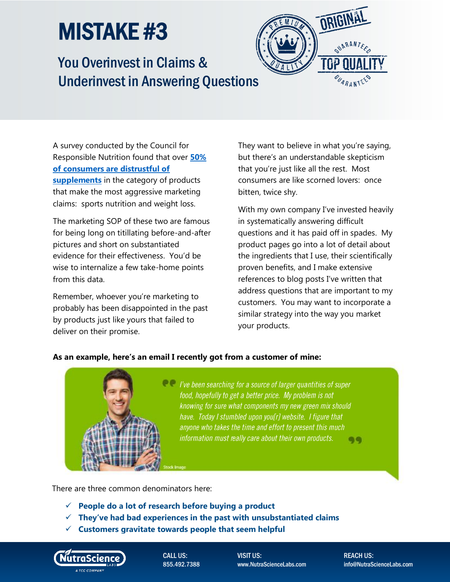

### You Overinvest in Claims & Underinvest in Answering Questions

A survey conducted by the Council for Responsible Nutrition found that over **[50%](http://www.crnusa.org/CRNPR15-CCSurvey102315.html)  [of consumers are distrustful of](http://www.crnusa.org/CRNPR15-CCSurvey102315.html)  [supplements](http://www.crnusa.org/CRNPR15-CCSurvey102315.html)** in the category of products that make the most aggressive marketing claims: sports nutrition and weight loss.

The marketing SOP of these two are famous for being long on titillating before-and-after pictures and short on substantiated evidence for their effectiveness. You'd be wise to internalize a few take-home points from this data.

Remember, whoever you're marketing to probably has been disappointed in the past by products just like yours that failed to deliver on their promise.

They want to believe in what you're saying, but there's an understandable skepticism that you're just like all the rest. Most consumers are like scorned lovers: once bitten, twice shy.

With my own company I've invested heavily in systematically answering difficult questions and it has paid off in spades. My product pages go into a lot of detail about the ingredients that I use, their scientifically proven benefits, and I make extensive references to blog posts I've written that address questions that are important to my customers. You may want to incorporate a similar strategy into the way you market your products.

#### **As an example, here's an email I recently got from a customer of mine:**



*live been searching for a source of larger quantities of super* food, hopefully to get a better price. My problem is not knowing for sure what components my new green mix should have. Today I stumbled upon you[r] website. I figure that anyone who takes the time and effort to present this much information must really care about their own products. **Q Q** 

There are three common denominators here:

- **People do a lot of research before buying a product**
- **They've had bad experiences in the past with unsubstantiated claims**
- **Customers gravitate towards people that seem helpful**



CALL US: 855.492.7388 VISIT US: www.NutraScienceLabs.com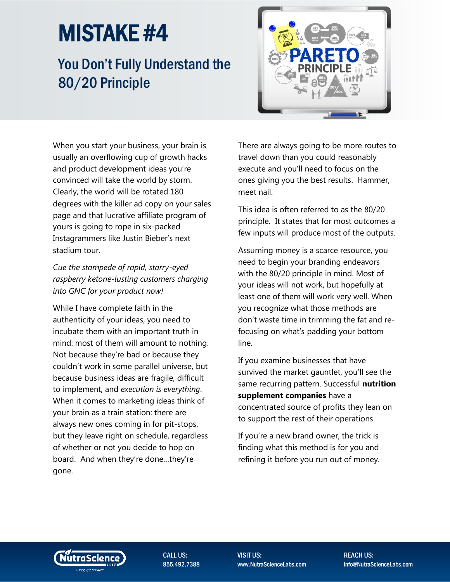## You Don't Fully Understand the 80/20 Principle



When you start your business, your brain is usually an overflowing cup of growth hacks and product development ideas you're convinced will take the world by storm. Clearly, the world will be rotated 180 degrees with the killer ad copy on your sales page and that lucrative affiliate program of yours is going to rope in six-packed Instagrammers like Justin Bieber's next stadium tour.

*Cue the stampede of rapid, starry-eyed raspberry ketone-lusting customers charging into GNC for your product now!*

While I have complete faith in the authenticity of your ideas, you need to incubate them with an important truth in mind: most of them will amount to nothing. Not because they're bad or because they couldn't work in some parallel universe, but because business ideas are fragile, difficult to implement, and *execution is everything*. When it comes to marketing ideas think of your brain as a train station: there are always new ones coming in for pit-stops, but they leave right on schedule, regardless of whether or not you decide to hop on board. And when they're done…they're gone.

There are always going to be more routes to travel down than you could reasonably execute and you'll need to focus on the ones giving you the best results. Hammer, meet nail.

This idea is often referred to as the 80/20 principle. It states that for most outcomes a few inputs will produce most of the outputs.

Assuming money is a scarce resource, you need to begin your branding endeavors with the 80/20 principle in mind. Most of your ideas will not work, but hopefully at least one of them will work very well. When you recognize what those methods are don't waste time in trimming the fat and refocusing on what's padding your bottom line.

If you examine businesses that have survived the market gauntlet, you'll see the same recurring pattern. Successful **nutrition supplement companies** have a concentrated source of profits they lean on to support the rest of their operations.

If you're a new brand owner, the trick is finding what this method is for you and refining it before you run out of money.



CALL US: 855.492.7388 VISIT US: www.NutraScienceLabs.com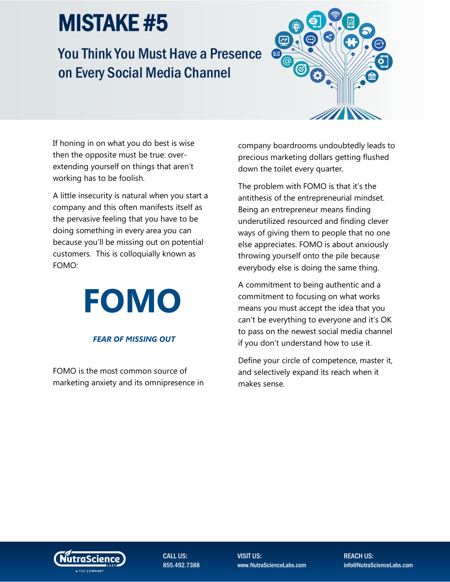### You Think You Must Have a Presence on Every Social Media Channel



If honing in on what you do best is wise then the opposite must be true: overextending yourself on things that aren't working has to be foolish.

A little insecurity is natural when you start a company and this often manifests itself as the pervasive feeling that you have to be doing something in every area you can because you'll be missing out on potential customers. This is colloquially known as FOMO:

# **FOMO**

#### *FEAR OF MISSING OUT*

FOMO is the most common source of marketing anxiety and its omnipresence in company boardrooms undoubtedly leads to precious marketing dollars getting flushed down the toilet every quarter.

The problem with FOMO is that it's the antithesis of the entrepreneurial mindset. Being an entrepreneur means finding underutilized resourced and finding clever ways of giving them to people that no one else appreciates. FOMO is about anxiously throwing yourself onto the pile because everybody else is doing the same thing.

A commitment to being authentic and a commitment to focusing on what works means you must accept the idea that you can't be everything to everyone and it's OK to pass on the newest social media channel if you don't understand how to use it.

Define your circle of competence, master it, and selectively expand its reach when it makes sense.



CALL US: 855.492.7388 VISIT US: www.NutraScienceLabs.com